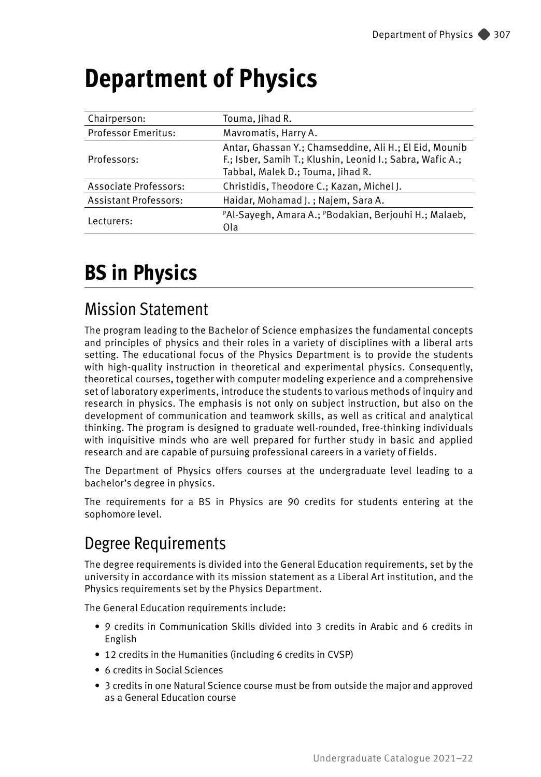| Chairperson:                 | Touma, Jihad R.                                                                                                                                          |  |  |  |
|------------------------------|----------------------------------------------------------------------------------------------------------------------------------------------------------|--|--|--|
| <b>Professor Emeritus:</b>   | Mavromatis, Harry A.                                                                                                                                     |  |  |  |
| Professors:                  | Antar, Ghassan Y.; Chamseddine, Ali H.; El Eid, Mounib<br>F.; Isber, Samih T.; Klushin, Leonid I.; Sabra, Wafic A.;<br>Tabbal, Malek D.; Touma, Jihad R. |  |  |  |
| Associate Professors:        | Christidis, Theodore C.; Kazan, Michel J.                                                                                                                |  |  |  |
| <b>Assistant Professors:</b> | Haidar, Mohamad J.; Najem, Sara A.                                                                                                                       |  |  |  |
| Lecturers:                   | PAI-Sayegh, Amara A.; PBodakian, Berjouhi H.; Malaeb,<br>Ola                                                                                             |  |  |  |

# **Department of Physics**

# **BS in Physics**

## Mission Statement

The program leading to the Bachelor of Science emphasizes the fundamental concepts and principles of physics and their roles in a variety of disciplines with a liberal arts setting. The educational focus of the Physics Department is to provide the students with high-quality instruction in theoretical and experimental physics. Consequently, theoretical courses, together with computer modeling experience and a comprehensive set of laboratory experiments, introduce the students to various methods of inquiry and research in physics. The emphasis is not only on subject instruction, but also on the development of communication and teamwork skills, as well as critical and analytical thinking. The program is designed to graduate well-rounded, free-thinking individuals with inquisitive minds who are well prepared for further study in basic and applied research and are capable of pursuing professional careers in a variety of fields.

The Department of Physics offers courses at the undergraduate level leading to a bachelor's degree in physics.

The requirements for a BS in Physics are 90 credits for students entering at the sophomore level.

## Degree Requirements

The degree requirements is divided into the General Education requirements, set by the university in accordance with its mission statement as a Liberal Art institution, and the Physics requirements set by the Physics Department.

The General Education requirements include:

- 9 credits in Communication Skills divided into 3 credits in Arabic and 6 credits in English
- 12 credits in the Humanities (including 6 credits in CVSP)
- 6 credits in Social Sciences
- 3 credits in one Natural Science course must be from outside the major and approved as a General Education course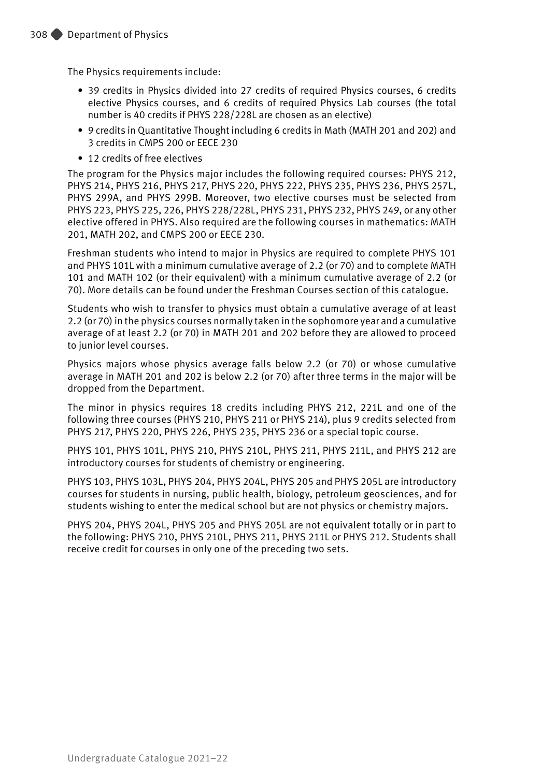The Physics requirements include:

- 39 credits in Physics divided into 27 credits of required Physics courses, 6 credits elective Physics courses, and 6 credits of required Physics Lab courses (the total number is 40 credits if PHYS 228/228L are chosen as an elective)
- 9 credits in Quantitative Thought including 6 credits in Math (MATH 201 and 202) and 3 credits in CMPS 200 or EECE 230
- 12 credits of free electives

The program for the Physics major includes the following required courses: PHYS 212, PHYS 214, PHYS 216, PHYS 217, PHYS 220, PHYS 222, PHYS 235, PHYS 236, PHYS 257L, PHYS 299A, and PHYS 299B. Moreover, two elective courses must be selected from PHYS 223, PHYS 225, 226, PHYS 228/228L, PHYS 231, PHYS 232, PHYS 249, or any other elective offered in PHYS. Also required are the following courses in mathematics: MATH 201, MATH 202, and CMPS 200 or EECE 230.

Freshman students who intend to major in Physics are required to complete PHYS 101 and PHYS 101L with a minimum cumulative average of 2.2 (or 70) and to complete MATH 101 and MATH 102 (or their equivalent) with a minimum cumulative average of 2.2 (or 70). More details can be found under the Freshman Courses section of this catalogue.

Students who wish to transfer to physics must obtain a cumulative average of at least 2.2 (or 70) in the physics courses normally taken in the sophomore year and a cumulative average of at least 2.2 (or 70) in MATH 201 and 202 before they are allowed to proceed to junior level courses.

Physics majors whose physics average falls below 2.2 (or 70) or whose cumulative average in MATH 201 and 202 is below 2.2 (or 70) after three terms in the major will be dropped from the Department.

The minor in physics requires 18 credits including PHYS 212, 221L and one of the following three courses (PHYS 210, PHYS 211 or PHYS 214), plus 9 credits selected from PHYS 217, PHYS 220, PHYS 226, PHYS 235, PHYS 236 or a special topic course.

PHYS 101, PHYS 101L, PHYS 210, PHYS 210L, PHYS 211, PHYS 211L, and PHYS 212 are introductory courses for students of chemistry or engineering.

PHYS 103, PHYS 103L, PHYS 204, PHYS 204L, PHYS 205 and PHYS 205L are introductory courses for students in nursing, public health, biology, petroleum geosciences, and for students wishing to enter the medical school but are not physics or chemistry majors.

PHYS 204, PHYS 204L, PHYS 205 and PHYS 205L are not equivalent totally or in part to the following: PHYS 210, PHYS 210L, PHYS 211, PHYS 211L or PHYS 212. Students shall receive credit for courses in only one of the preceding two sets.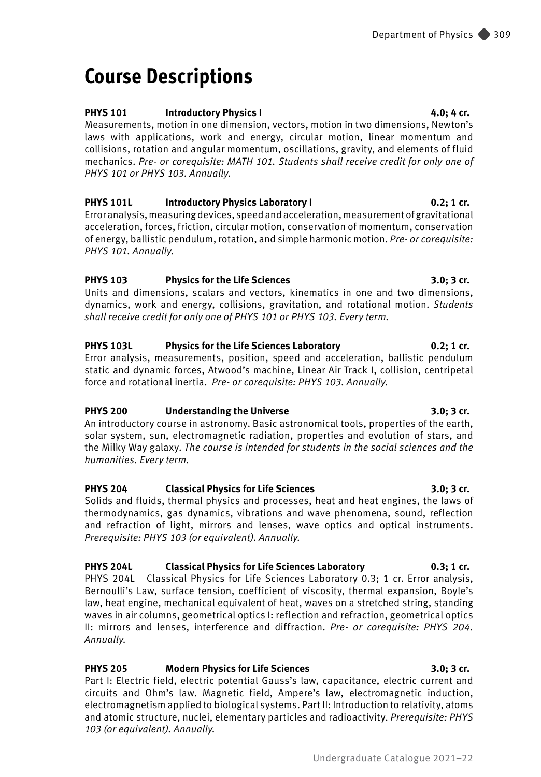# **Course Descriptions**

### **PHYS 101** Introductory Physics I **4.0; 4 cr.**

Measurements, motion in one dimension, vectors, motion in two dimensions, Newton's laws with applications, work and energy, circular motion, linear momentum and collisions, rotation and angular momentum, oscillations, gravity, and elements of fluid mechanics. *Pre- or corequisite: MATH 101. Students shall receive credit for only one of PHYS 101 or PHYS 103. Annually.* 

**PHYS 101L Introductory Physics Laboratory I 0.2; 1 cr.** Error analysis, measuring devices, speed and acceleration, measurement of gravitational acceleration, forces, friction, circular motion, conservation of momentum, conservation of energy, ballistic pendulum, rotation, and simple harmonic motion. *Pre- or corequisite: PHYS 101. Annually.*

### **PHYS 103 Physics for the Life Sciences 3.0; 3 cr.**

Units and dimensions, scalars and vectors, kinematics in one and two dimensions, dynamics, work and energy, collisions, gravitation, and rotational motion. *Students shall receive credit for only one of PHYS 101 or PHYS 103. Every term.*

### **PHYS 103L Physics for the Life Sciences Laboratory 0.2; 1 cr.**

Error analysis, measurements, position, speed and acceleration, ballistic pendulum static and dynamic forces, Atwood's machine, Linear Air Track I, collision, centripetal force and rotational inertia. *Pre- or corequisite: PHYS 103. Annually.*

### **PHYS 200 Understanding the Universe 3.0; 3 cr.**

An introductory course in astronomy. Basic astronomical tools, properties of the earth, solar system, sun, electromagnetic radiation, properties and evolution of stars, and the Milky Way galaxy. *The course is intended for students in the social sciences and the humanities. Every term.*

### **PHYS 204 Classical Physics for Life Sciences 3.0; 3 cr.**

Solids and fluids, thermal physics and processes, heat and heat engines, the laws of thermodynamics, gas dynamics, vibrations and wave phenomena, sound, reflection and refraction of light, mirrors and lenses, wave optics and optical instruments. *Prerequisite: PHYS 103 (or equivalent). Annually.*

### **PHYS 204L Classical Physics for Life Sciences Laboratory 0.3; 1 cr.**

PHYS 204L Classical Physics for Life Sciences Laboratory 0.3; 1 cr. Error analysis, Bernoulli's Law, surface tension, coefficient of viscosity, thermal expansion, Boyle's law, heat engine, mechanical equivalent of heat, waves on a stretched string, standing waves in air columns, geometrical optics I: reflection and refraction, geometrical optics II: mirrors and lenses, interference and diffraction. *Pre- or corequisite: PHYS 204. Annually.*

### **PHYS 205 Modern Physics for Life Sciences 3.0; 3 cr.**

Part I: Electric field, electric potential Gauss's law, capacitance, electric current and circuits and Ohm's law. Magnetic field, Ampere's law, electromagnetic induction, electromagnetism applied to biological systems. Part II: Introduction to relativity, atoms and atomic structure, nuclei, elementary particles and radioactivity. *Prerequisite: PHYS 103 (or equivalent). Annually.*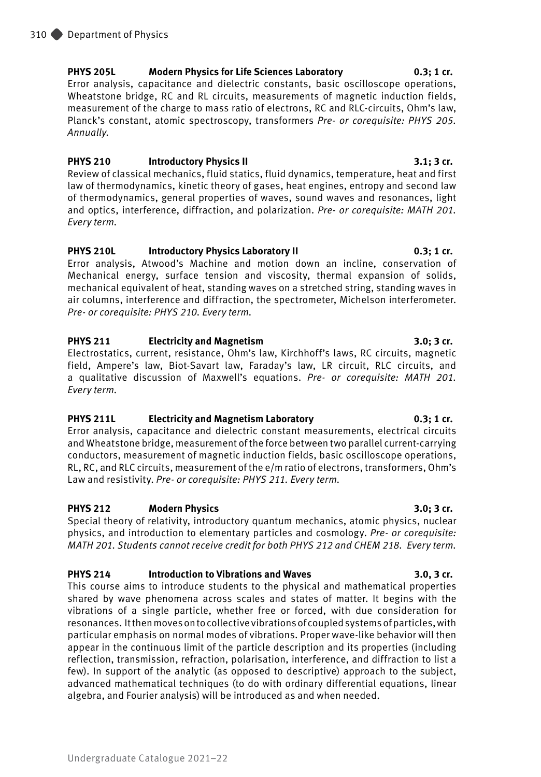### **PHYS 205L Modern Physics for Life Sciences Laboratory 0.3; 1 cr.**

Error analysis, capacitance and dielectric constants, basic oscilloscope operations, Wheatstone bridge, RC and RL circuits, measurements of magnetic induction fields, measurement of the charge to mass ratio of electrons, RC and RLC-circuits, Ohm's law, Planck's constant, atomic spectroscopy, transformers *Pre- or corequisite: PHYS 205. Annually.*

### **PHYS 210 Introductory Physics II 3.1; 3 cr.**

Review of classical mechanics, fluid statics, fluid dynamics, temperature, heat and first law of thermodynamics, kinetic theory of gases, heat engines, entropy and second law of thermodynamics, general properties of waves, sound waves and resonances, light and optics, interference, diffraction, and polarization. *Pre- or corequisite: MATH 201. Every term.*

### **PHYS 210L Introductory Physics Laboratory II 0.3; 1 cr.**

Error analysis, Atwood's Machine and motion down an incline, conservation of Mechanical energy, surface tension and viscosity, thermal expansion of solids, mechanical equivalent of heat, standing waves on a stretched string, standing waves in air columns, interference and diffraction, the spectrometer, Michelson interferometer. *Pre- or corequisite: PHYS 210. Every term.*

### **PHYS 211 Electricity and Magnetism 3.0; 3 cr.**

Electrostatics, current, resistance, Ohm's law, Kirchhoff's laws, RC circuits, magnetic field, Ampere's law, Biot-Savart law, Faraday's law, LR circuit, RLC circuits, and a qualitative discussion of Maxwell's equations. *Pre- or corequisite: MATH 201. Every term.*

### **PHYS 211L Electricity and Magnetism Laboratory 0.3; 1 cr.**

Error analysis, capacitance and dielectric constant measurements, electrical circuits and Wheatstone bridge, measurement of the force between two parallel current-carrying conductors, measurement of magnetic induction fields, basic oscilloscope operations, RL, RC, and RLC circuits, measurement of the e/m ratio of electrons, transformers, Ohm's Law and resistivity. *Pre- or corequisite: PHYS 211. Every term.*

### **PHYS 212 Modern Physics 3.0; 3 cr.**

Special theory of relativity, introductory quantum mechanics, atomic physics, nuclear physics, and introduction to elementary particles and cosmology. *Pre- or corequisite: MATH 201. Students cannot receive credit for both PHYS 212 and CHEM 218. Every term.*

### **PHYS 214 Introduction to Vibrations and Waves 3.0, 3 cr.**

This course aims to introduce students to the physical and mathematical properties shared by wave phenomena across scales and states of matter. It begins with the vibrations of a single particle, whether free or forced, with due consideration for resonances. It then moves on to collective vibrations of coupled systems of particles, with particular emphasis on normal modes of vibrations. Proper wave-like behavior will then appear in the continuous limit of the particle description and its properties (including reflection, transmission, refraction, polarisation, interference, and diffraction to list a few). In support of the analytic (as opposed to descriptive) approach to the subject, advanced mathematical techniques (to do with ordinary differential equations, linear algebra, and Fourier analysis) will be introduced as and when needed.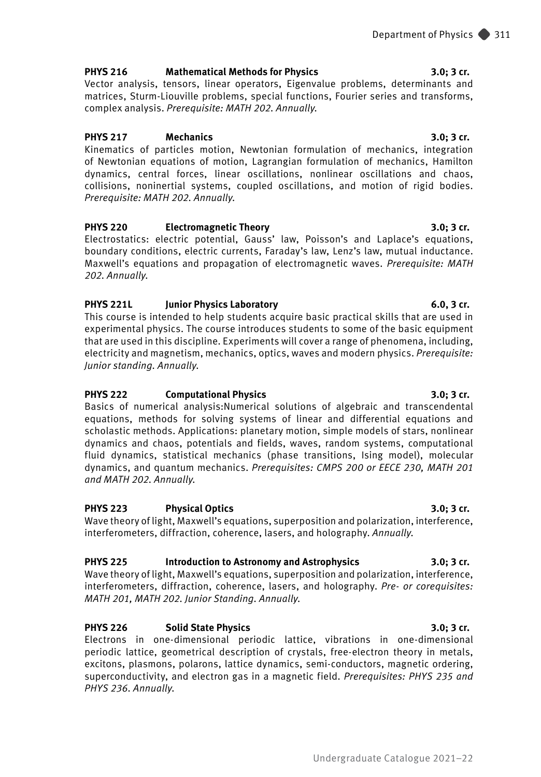### **PHYS 216 Mathematical Methods for Physics 3.0; 3 cr.**

Vector analysis, tensors, linear operators, Eigenvalue problems, determinants and matrices, Sturm-Liouville problems, special functions, Fourier series and transforms, complex analysis. *Prerequisite: MATH 202. Annually.*

### **PHYS 217 Mechanics 3.0; 3 cr.**

Kinematics of particles motion, Newtonian formulation of mechanics, integration of Newtonian equations of motion, Lagrangian formulation of mechanics, Hamilton dynamics, central forces, linear oscillations, nonlinear oscillations and chaos, collisions, noninertial systems, coupled oscillations, and motion of rigid bodies. *Prerequisite: MATH 202. Annually.*

### **PHYS 220 Electromagnetic Theory 3.0; 3 cr.**

Electrostatics: electric potential, Gauss' law, Poisson's and Laplace's equations, boundary conditions, electric currents, Faraday's law, Lenz's law, mutual inductance. Maxwell's equations and propagation of electromagnetic waves. *Prerequisite: MATH 202. Annually.*

### **PHYS 221L Junior Physics Laboratory 6.0, 3 cr.**

This course is intended to help students acquire basic practical skills that are used in experimental physics. The course introduces students to some of the basic equipment that are used in this discipline. Experiments will cover a range of phenomena, including, electricity and magnetism, mechanics, optics, waves and modern physics. *Prerequisite: Junior standing. Annually.* 

### **PHYS 222 Computational Physics 3.0; 3 cr.**

Basics of numerical analysis:Numerical solutions of algebraic and transcendental equations, methods for solving systems of linear and differential equations and scholastic methods. Applications: planetary motion, simple models of stars, nonlinear dynamics and chaos, potentials and fields, waves, random systems, computational fluid dynamics, statistical mechanics (phase transitions, Ising model), molecular dynamics, and quantum mechanics. *Prerequisites: CMPS 200 or EECE 230, MATH 201 and MATH 202. Annually.*

### **PHYS 223 Physical Optics 3.0; 3 cr.**

Wave theory of light, Maxwell's equations, superposition and polarization, interference, interferometers, diffraction, coherence, lasers, and holography. *Annually.*

### **PHYS 225 Introduction to Astronomy and Astrophysics 3.0; 3 cr.**

Wave theory of light, Maxwell's equations, superposition and polarization, interference, interferometers, diffraction, coherence, lasers, and holography. *Pre- or corequisites: MATH 201, MATH 202. Junior Standing. Annually.*

### **PHYS 226 Solid State Physics 3.0; 3 cr.**

Electrons in one-dimensional periodic lattice, vibrations in one-dimensional periodic lattice, geometrical description of crystals, free-electron theory in metals, excitons, plasmons, polarons, lattice dynamics, semi-conductors, magnetic ordering, superconductivity, and electron gas in a magnetic field. *Prerequisites: PHYS 235 and PHYS 236. Annually.*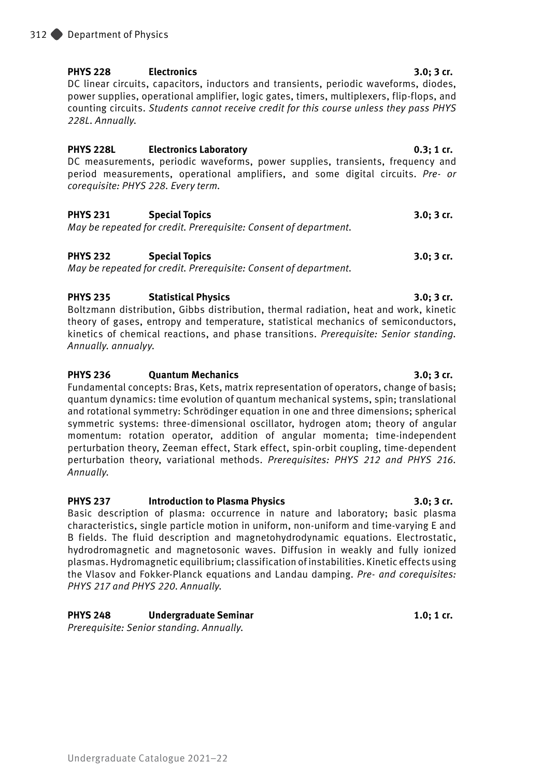### Undergraduate Catalogue 2021–22

### **PHYS 228 Electronics 3.0; 3 cr.**

DC linear circuits, capacitors, inductors and transients, periodic waveforms, diodes, power supplies, operational amplifier, logic gates, timers, multiplexers, flip-flops, and counting circuits. *Students cannot receive credit for this course unless they pass PHYS 228L. Annually.* 

### **PHYS 228L Electronics Laboratory 0.3; 1 cr.**

DC measurements, periodic waveforms, power supplies, transients, frequency and period measurements, operational amplifiers, and some digital circuits. *Pre- or corequisite: PHYS 228. Every term.*

### **PHYS 231 Special Topics 3.0; 3 cr.**

*May be repeated for credit. Prerequisite: Consent of department.* 

### **PHYS 232 Special Topics 3.0; 3 cr.**

*May be repeated for credit. Prerequisite: Consent of department.*

### **PHYS 235 Statistical Physics 3.0; 3 cr.**

Boltzmann distribution, Gibbs distribution, thermal radiation, heat and work, kinetic theory of gases, entropy and temperature, statistical mechanics of semiconductors, kinetics of chemical reactions, and phase transitions. *Prerequisite: Senior standing. Annually. annualyy.*

### **PHYS 236 Quantum Mechanics 3.0; 3 cr.**

Fundamental concepts: Bras, Kets, matrix representation of operators, change of basis; quantum dynamics: time evolution of quantum mechanical systems, spin; translational and rotational symmetry: Schrödinger equation in one and three dimensions; spherical symmetric systems: three-dimensional oscillator, hydrogen atom; theory of angular momentum: rotation operator, addition of angular momenta; time-independent perturbation theory, Zeeman effect, Stark effect, spin-orbit coupling, time-dependent perturbation theory, variational methods. *Prerequisites: PHYS 212 and PHYS 216. Annually.*

### **PHYS 237 Introduction to Plasma Physics 3.0; 3 cr.**

Basic description of plasma: occurrence in nature and laboratory; basic plasma characteristics, single particle motion in uniform, non-uniform and time-varying E and B fields. The fluid description and magnetohydrodynamic equations. Electrostatic, hydrodromagnetic and magnetosonic waves. Diffusion in weakly and fully ionized plasmas. Hydromagnetic equilibrium; classification of instabilities. Kinetic effects using the Vlasov and Fokker-Planck equations and Landau damping. *Pre- and corequisites: PHYS 217 and PHYS 220. Annually.*

### **PHYS 248 Undergraduate Seminar 1.0; 1 cr.**

*Prerequisite: Senior standing. Annually.*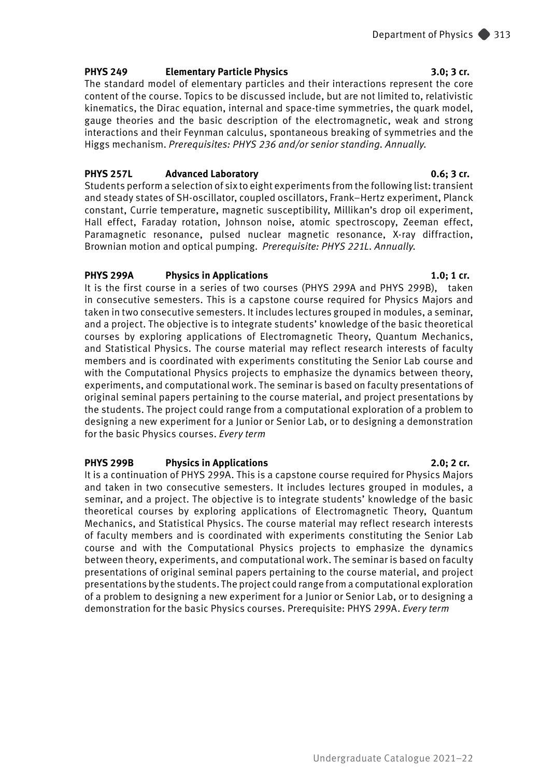### **PHYS 249 Elementary Particle Physics 3.0; 3 cr.**

The standard model of elementary particles and their interactions represent the core content of the course. Topics to be discussed include, but are not limited to, relativistic kinematics, the Dirac equation, internal and space-time symmetries, the quark model, gauge theories and the basic description of the electromagnetic, weak and strong interactions and their Feynman calculus, spontaneous breaking of symmetries and the Higgs mechanism. *Prerequisites: PHYS 236 and/or senior standing. Annually.*

### **PHYS 257L Advanced Laboratory 0.6; 3 cr.**

Students perform a selection of six to eight experiments from the following list: transient and steady states of SH-oscillator, coupled oscillators, Frank–Hertz experiment, Planck constant, Currie temperature, magnetic susceptibility, Millikan's drop oil experiment, Hall effect, Faraday rotation, Johnson noise, atomic spectroscopy, Zeeman effect, Paramagnetic resonance, pulsed nuclear magnetic resonance, X-ray diffraction, Brownian motion and optical pumping. *Prerequisite: PHYS 221L. Annually.*

### **PHYS 299A Physics in Applications 1.0; 1 cr.**

It is the first course in a series of two courses (PHYS 299A and PHYS 299B), taken in consecutive semesters. This is a capstone course required for Physics Majors and taken in two consecutive semesters. It includes lectures grouped in modules, a seminar, and a project. The objective is to integrate students' knowledge of the basic theoretical courses by exploring applications of Electromagnetic Theory, Quantum Mechanics, and Statistical Physics. The course material may reflect research interests of faculty members and is coordinated with experiments constituting the Senior Lab course and with the Computational Physics projects to emphasize the dynamics between theory, experiments, and computational work. The seminar is based on faculty presentations of original seminal papers pertaining to the course material, and project presentations by the students. The project could range from a computational exploration of a problem to designing a new experiment for a Junior or Senior Lab, or to designing a demonstration for the basic Physics courses. *Every term*

### **PHYS 299B Physics in Applications 2.0; 2 cr.**

It is a continuation of PHYS 299A. This is a capstone course required for Physics Majors and taken in two consecutive semesters. It includes lectures grouped in modules, a seminar, and a project. The objective is to integrate students' knowledge of the basic theoretical courses by exploring applications of Electromagnetic Theory, Quantum Mechanics, and Statistical Physics. The course material may reflect research interests of faculty members and is coordinated with experiments constituting the Senior Lab course and with the Computational Physics projects to emphasize the dynamics between theory, experiments, and computational work. The seminar is based on faculty presentations of original seminal papers pertaining to the course material, and project presentations by the students. The project could range from a computational exploration of a problem to designing a new experiment for a Junior or Senior Lab, or to designing a demonstration for the basic Physics courses. Prerequisite: PHYS 299A. *Every term*